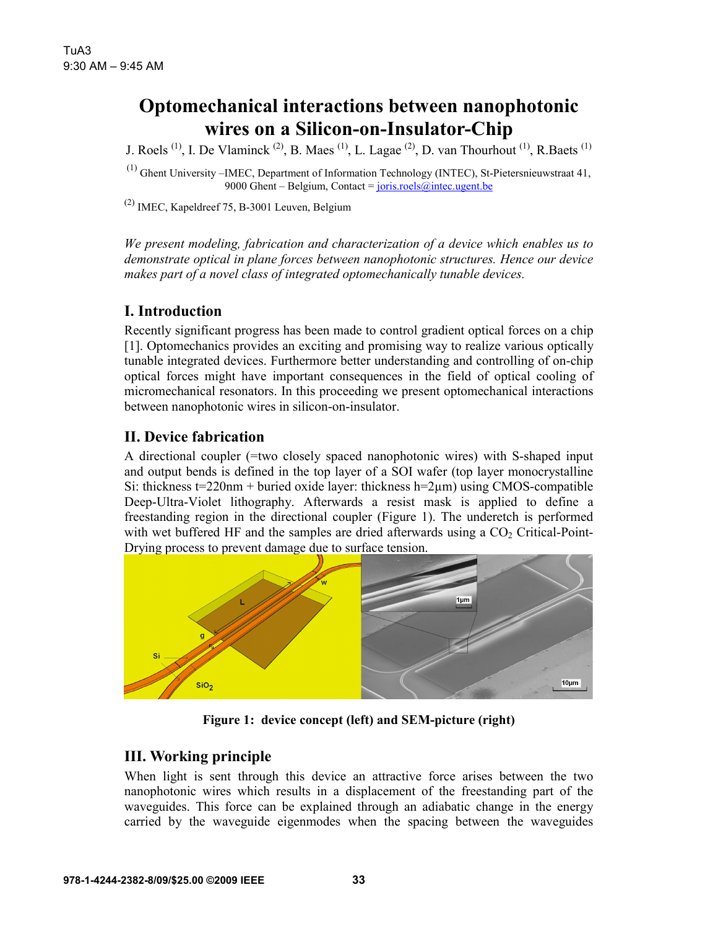# **Optomechanical interactions between nanophotonic wires on a Silicon-on-Insulator-Chip**

J. Roels <sup>(1)</sup>, I. De Vlaminck <sup>(2)</sup>, B. Maes <sup>(1)</sup>, L. Lagae <sup>(2)</sup>, D. van Thourhout <sup>(1)</sup>, R. Baets <sup>(1)</sup>

(1) Ghent University –IMEC, Department of Information Technology (INTEC), St-Pietersnieuwstraat 41, 9000 Ghent – Belgium, Contact =  $joris.noels@intec.ugent.be$ </u>

 $^{(2)}$  IMEC, Kapeldreef 75, B-3001 Leuven, Belgium

*We present modeling, fabrication and characterization of a device which enables us to demonstrate optical in plane forces between nanophotonic structures. Hence our device makes part of a novel class of integrated optomechanically tunable devices.* 

## **I. Introduction**

Recently significant progress has been made to control gradient optical forces on a chip [1]. Optomechanics provides an exciting and promising way to realize various optically tunable integrated devices. Furthermore better understanding and controlling of on-chip optical forces might have important consequences in the field of optical cooling of micromechanical resonators. In this proceeding we present optomechanical interactions between nanophotonic wires in silicon-on-insulator.

## **II. Device fabrication**

A directional coupler (=two closely spaced nanophotonic wires) with S-shaped input and output bends is defined in the top layer of a SOI wafer (top layer monocrystalline Si: thickness  $t=220$ nm + buried oxide layer: thickness  $h=2\mu m$ ) using CMOS-compatible Deep-Ultra-Violet lithography. Afterwards a resist mask is applied to define a freestanding region in the directional coupler (Figure 1). The underetch is performed with wet buffered HF and the samples are dried afterwards using a  $CO<sub>2</sub>$  Critical-Point-Drying process to prevent damage due to surface tension.



**Figure 1: device concept (left) and SEM-picture (right)** 

## **III. Working principle**

When light is sent through this device an attractive force arises between the two nanophotonic wires which results in a displacement of the freestanding part of the waveguides. This force can be explained through an adiabatic change in the energy carried by the waveguide eigenmodes when the spacing between the waveguides